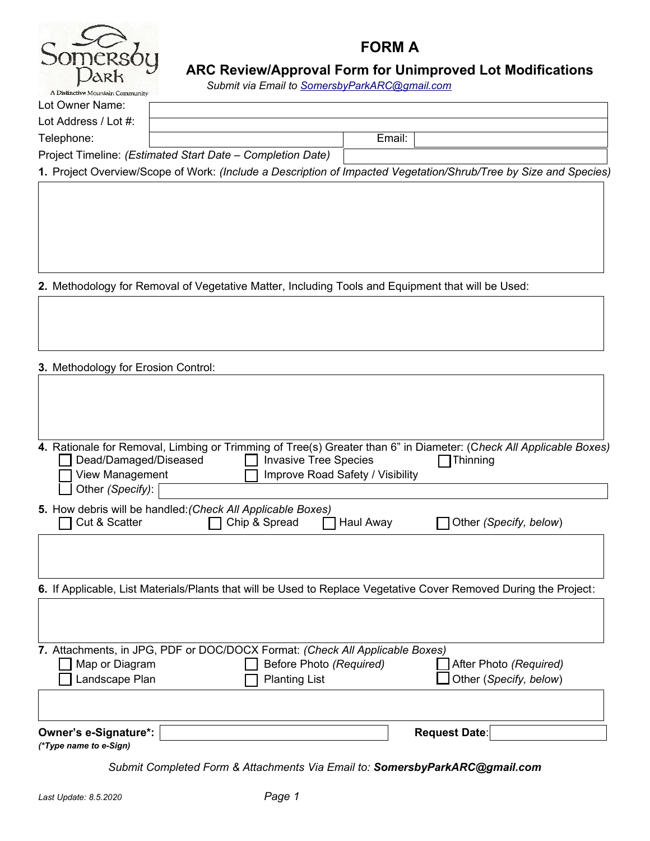

# **FORM A**

# **ARC Review/Approval Form for Unimproved Lot Modifications**

*Submit via Email to [SomersbyParkARC@gmail.com](mailto:SomersbyParkARC@gmail.com)*

| Lot Owner Name:                                            |  |        |  |
|------------------------------------------------------------|--|--------|--|
| Lot Address / Lot #:                                       |  |        |  |
| Telephone:                                                 |  | Email: |  |
| Project Timeline: (Estimated Start Date – Completion Date) |  |        |  |

**1.** Project Overview/Scope of Work: *(Include a Description of Impacted Vegetation/Shrub/Tree by Size and Species)*

**2.** Methodology for Removal of Vegetative Matter, Including Tools and Equipment that will be Used:

**3.** Methodology for Erosion Control:

| 4. Rationale for Removal, Limbing or Trimming of Tree(s) Greater than 6" in Diameter: (Check All Applicable Boxes)<br>Dead/Damaged/Diseased<br><b>Invasive Tree Species</b><br>View Management<br>Improve Road Safety / Visibility<br>Other (Specify): | Thinning                                         |
|--------------------------------------------------------------------------------------------------------------------------------------------------------------------------------------------------------------------------------------------------------|--------------------------------------------------|
| 5. How debris will be handled: (Check All Applicable Boxes)<br>Cut & Scatter<br>Chip & Spread<br>Haul Away                                                                                                                                             | Other (Specify, below)                           |
| 6. If Applicable, List Materials/Plants that will be Used to Replace Vegetative Cover Removed During the Project:                                                                                                                                      |                                                  |
| 7. Attachments, in JPG, PDF or DOC/DOCX Format: (Check All Applicable Boxes)<br>Map or Diagram<br>Before Photo (Required)<br>Landscape Plan<br><b>Planting List</b>                                                                                    | After Photo (Required)<br>Other (Specify, below) |
| Owner's e-Signature*:<br>(*Type name to e-Sign)                                                                                                                                                                                                        | <b>Request Date:</b>                             |

*Submit Completed Form & Attachments Via Email to: SomersbyParkARC@gmail.com*